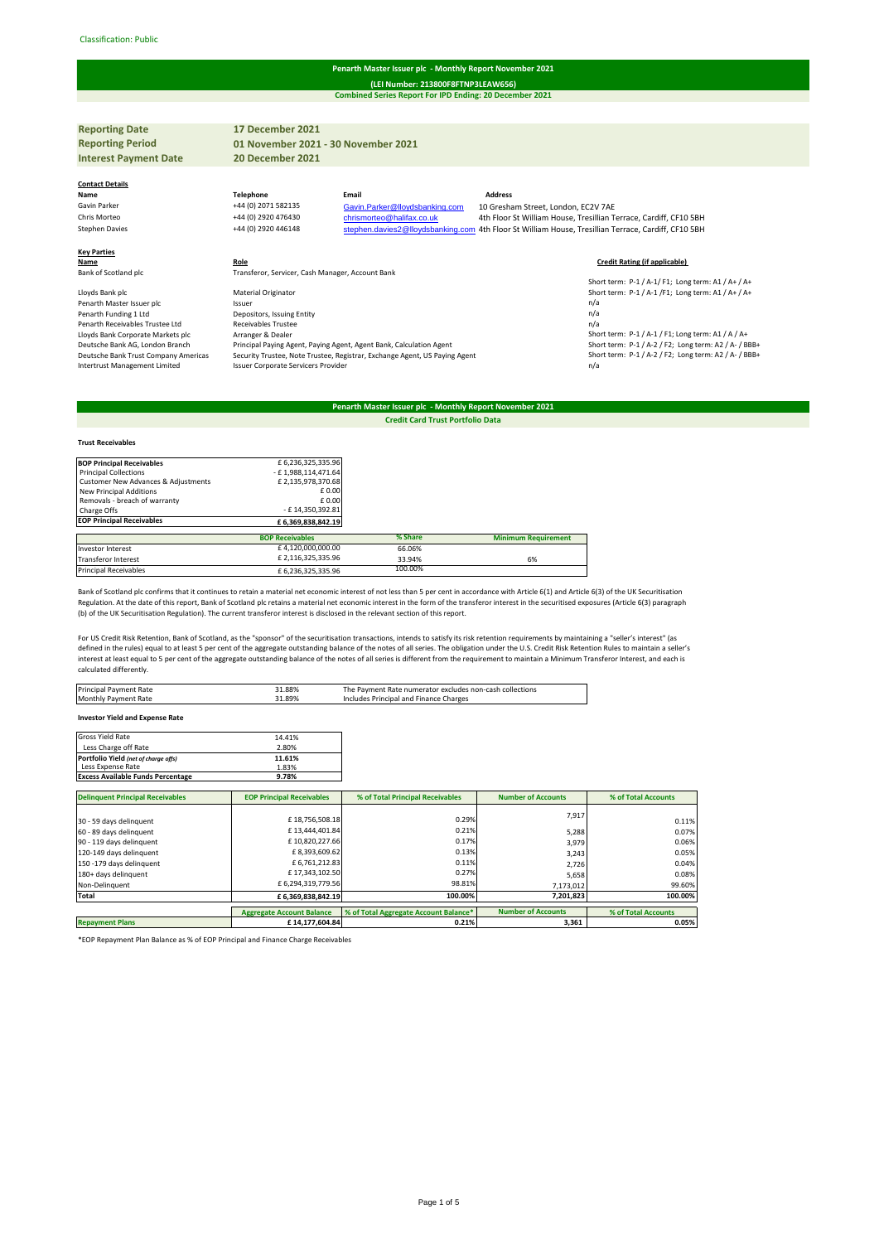#### Classification: Public#

## **Penarth Master Issuer plc - Monthly Report November 2021**

**Combined Series Report For IPD Ending: 20 December 2021 (LEI Number: 213800F8FTNP3LEAW656)**

**Reporting Date 17 December 2021 Reporting Period Interest Payment Date 20 December 2021 Contact Details Name Telephone Email Address** Gavin Parker +44 (0) 2071 582135 Gavin. Parker @lloydsbanking.com 10 Gresham Street, London, EC2V 7AE<br>Fris Morteo +44 (0) 2920 476430 chrismorteo @halifax.co.uk 4th Floor St William House, Tresillian Ti Chris Morteo +44 (0) 2920 476430 [chrismorteo@halifax.co.uk](mailto:chrismorteo@halifax.co.uk) 4th Floor St William House, Tresillian Terrace, Cardiff, CF10 5BH<br>Stephen.davies2@lloydsbanking.com 4th Floor St William House, Tresillian Terrace, Cardiff, CF10 5 [stephen.davies2@lloydsbanking.com](mailto:stephen.davies2@lloydsbanking.com) 4th Floor St William House, Tresillian Terrace, Cardiff, CF10 5BH **Key Parties Name Role Role Role Role Role Role Role Role Role Role Role Role Role Role Role Role Role Role Role Role Role Role Role Role Role Role Role Role Role Role Role** Transferor, Servicer, Cash Manager, Account Bank Short term: P-1 / A-1/ F1; Long term: A1 / A+ / A+ Material Originator **Lack place and place and place and place Short term: P-1 / A-1 /F1**; Long term: A1 / A+ / A+ / A+ / Ssuer Lloyds Bank plc **Show Material Originator** Chromater and the University of Show Penarth Master Issuer n/a<br>
Penarth Master Issuer plc **Penarth Funding 1 Ltd Penarth Funding 1 Ltd Depositors, Issuing Entity Penarth Fun** Penarth Funding 1 Ltd Depositors, Issuing Entity<br>
Receivables Trustee<br>
n/a<br>
n/a Penarth Receivables Trustee Ltd Receivables Trustee<br>
Lloyds Bank Corporate Markets plc Arranger & Dealer<br>
Deutsche Bank AG, London Branch Principal Paying Ag 1, a<br>Short term: P-1 / A-1 / F1; Long term: A1 / A / A+<br>Short term: P-1 / A-2 / F2; Long term: A2 / A- / BBB+ Deutsche Bank AG, London Branch Principal Paying Agent, Paying Agent, Agent Bank, Calculation Agent Short term: P-1 / A-2 / F2; Long term: A2 / A- / BBB+<br>Deutsche Bank Trust Company Americas Security Trustee, Note Trustee, 1984/Deutsche Bank Trust Company Americas Security Trustee, Note Trustee, Registrar, Exchange Agent Spaying Agent<br>1991-1992 101-2014 10-2016 Intertrust Management Limited University Natur Mass Servicers Provider Schoters P **01 November 2021 - 30 November 2021**

# **Penarth Master Issuer plc - Monthly Report November 2021**

**Credit Card Trust Portfolio Data**

### **Trust Receivables**

| <b>BOP Principal Receivables</b>    | £6,236,325,335.96      |         |                            |
|-------------------------------------|------------------------|---------|----------------------------|
| <b>Principal Collections</b>        | - £1,988,114,471.64    |         |                            |
| Customer New Advances & Adjustments | £2,135,978,370.68      |         |                            |
| <b>New Principal Additions</b>      | £0.00                  |         |                            |
| Removals - breach of warranty       | £0.00                  |         |                            |
| Charge Offs                         | - £14.350.392.81       |         |                            |
| <b>EOP Principal Receivables</b>    | £6.369.838.842.19      |         |                            |
|                                     | <b>BOP Receivables</b> | % Share | <b>Minimum Requirement</b> |
| Investor Interest                   | £4,120,000,000.00      | 66.06%  |                            |
| Transferor Interest                 | £2.116.325.335.96      | 33.94%  | 6%                         |
| <b>Principal Receivables</b>        | £6.236.325.335.96      | 100.00% |                            |

Bank of Scotland plc confirms that it continues to retain a material net economic interest of not less than 5 per cent in accordance with Article 6(1) and Article 6(3) of the UK Securitisation Regulation. At the date of this report, Bank of Scotland plc retains a material net economic interest in the form of the transferor interest in the securitised exposures (Article 6(3) paragraph (b) of the UK Securitisation Regulation). The current transferor interest is disclosed in the relevant section of this report.

For US Credit Risk Retention, Bank of Scotland, as the "sponsor" of the securitisation transactions, intends to satisfy its risk retention requirements by maintaining a "seller's interest" (as defined in the rules) equal to at least 5 per cent of the aggregate outstanding balance of the notes of all series. The obligation under the U.S. Credit Risk Retention Rules to maintain a seller's interest at least equal to 5 per cent of the aggregate outstanding balance of the notes of all series is different from the requirement to maintain a Minimum Transferor Interest, and each is calculated differently.

| 39%،<br><b>Monthly Payment Rate</b><br>Includes Principal and Finance Charges | Principal Payment Rate | -1.88% | The Payment Rate numerator excludes non-cash collections |
|-------------------------------------------------------------------------------|------------------------|--------|----------------------------------------------------------|
|                                                                               |                        |        |                                                          |

**Investor Yield and Expense Rate**

| <b>Gross Yield Rate</b>                  | 14.41% |
|------------------------------------------|--------|
| Less Charge off Rate                     | 2.80%  |
| Portfolio Yield (net of charge offs)     | 11.61% |
| Less Expense Rate                        | 1.83%  |
| <b>Excess Available Funds Percentage</b> | 9.78%  |

| <b>Delinquent Principal Receivables</b> | <b>EOP Principal Receivables</b> | % of Total Principal Receivables      | <b>Number of Accounts</b> | % of Total Accounts |
|-----------------------------------------|----------------------------------|---------------------------------------|---------------------------|---------------------|
|                                         |                                  |                                       | 7,917                     |                     |
| 30 - 59 days delinquent                 | £18,756,508.18                   | 0.29%                                 |                           | 0.11%               |
| 60 - 89 days delinquent                 | £13.444.401.84                   | 0.21%                                 | 5,288                     | 0.07%               |
| 90 - 119 days delinquent                | £10.820.227.66                   | 0.17%                                 | 3,979                     | 0.06%               |
| 120-149 days delinquent                 | £8,393,609.62                    | 0.13%                                 | 3,243                     | 0.05%               |
| 150 -179 days delinquent                | £6,761,212.83                    | 0.11%                                 | 2.726                     | 0.04%               |
| 180+ days delinquent                    | £17.343.102.50                   | 0.27%                                 | 5,658                     | 0.08%               |
| Non-Delinquent                          | £6.294.319.779.56                | 98.81%                                | 7,173,012                 | 99.60%              |
| Total                                   | £ 6,369,838,842.19               | 100.00%                               | 7,201,823                 | 100.00%             |
|                                         | <b>Aggregate Account Balance</b> | % of Total Aggregate Account Balance* | <b>Number of Accounts</b> | % of Total Accounts |
| <b>Repayment Plans</b>                  | £14.177.604.84                   | 0.21%                                 | 3.361                     | 0.05%               |

\*EOP Repayment Plan Balance as % of EOP Principal and Finance Charge Receivables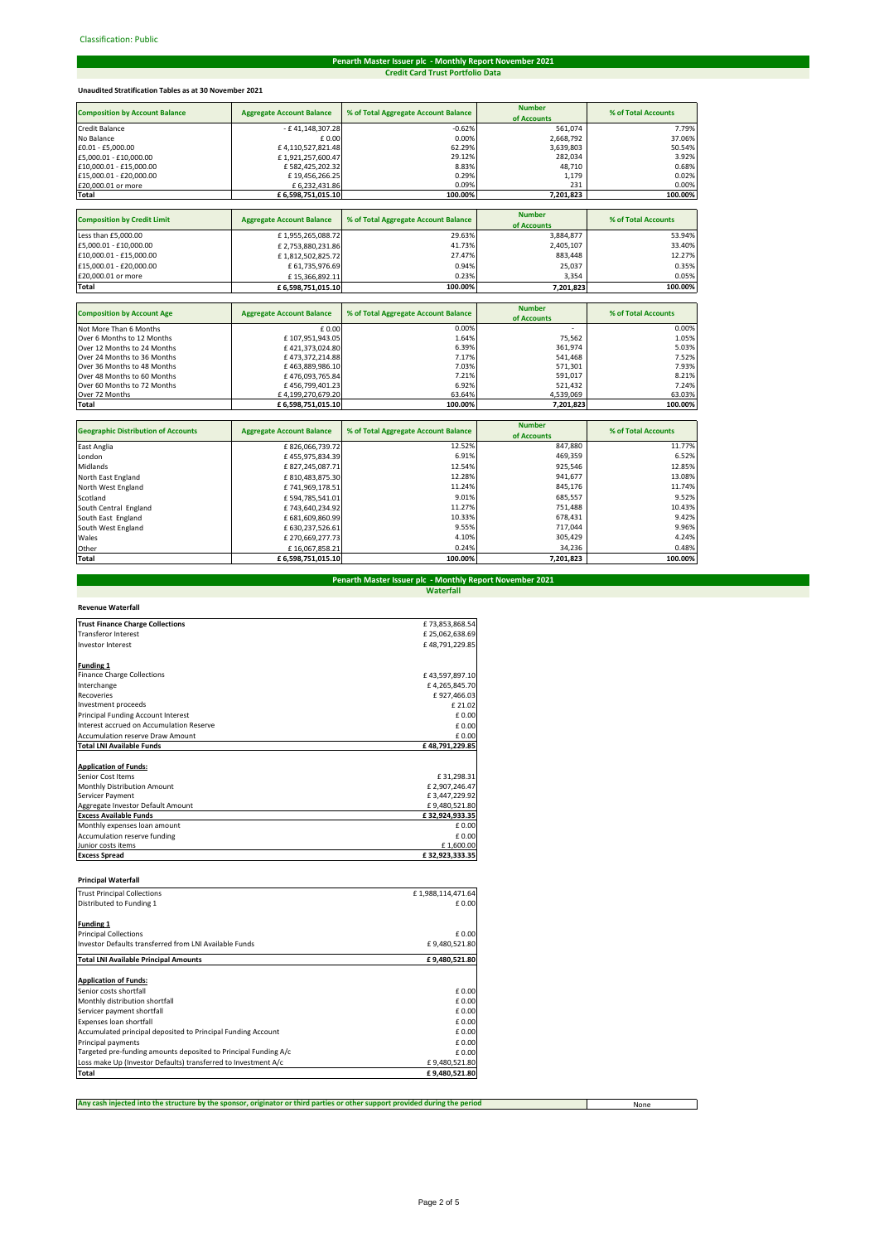# **Penarth Master Issuer plc - Monthly Report November 2021 Credit Card Trust Portfolio Data**

# **Unaudited Stratification Tables as at 30 November 2021**

| <b>Composition by Account Balance</b> | <b>Aggregate Account Balance</b> | % of Total Aggregate Account Balance | <b>Number</b><br>of Accounts | % of Total Accounts |
|---------------------------------------|----------------------------------|--------------------------------------|------------------------------|---------------------|
| <b>Credit Balance</b>                 | - £41,148,307.28                 | $-0.62%$                             | 561,074                      | 7.79%               |
| No Balance                            | £0.00                            | 0.00%                                | 2,668,792                    | 37.06%              |
| £0.01 - £5,000.00                     | £4,110,527,821.48                | 62.29%                               | 3,639,803                    | 50.54%              |
| £5,000.01 - £10,000.00                | £1,921,257,600.47                | 29.12%                               | 282,034                      | 3.92%               |
| £10,000.01 - £15,000.00               | £582,425,202.32                  | 8.83%                                | 48,710                       | 0.68%               |
| £15,000.01 - £20,000.00               | £19,456,266.25                   | 0.29%                                | 1,179                        | 0.02%               |
| £20,000.01 or more                    | £ 6,232,431.86                   | 0.09%                                | 231                          | 0.00%               |
| Total                                 | £ 6,598,751,015.10               | 100.00%                              | 7,201,823                    | 100.00%             |
|                                       |                                  |                                      |                              |                     |
| <b>Composition by Credit Limit</b>    | <b>Aggregate Account Balance</b> | % of Total Aggregate Account Balance | <b>Number</b>                | % of Total Accounts |
|                                       |                                  |                                      | of Accounts                  |                     |
| Less than £5,000.00                   | £1,955,265,088.72                | 29.63%                               | 3,884,877                    | 53.94%              |
| £5,000.01 - £10,000.00                | £2,753,880,231.86                | 41.73%                               | 2,405,107                    | 33.40%              |
| £10,000.01 - £15,000.00               | £1,812,502,825.72                | 27.47%                               | 883,448                      | 12.27%              |
| £15,000.01 - £20,000.00               | £ 61,735,976.69                  | 0.94%                                | 25,037                       | 0.35%               |
| £20,000.01 or more                    | £15,366,892.11                   | 0.23%                                | 3,354                        | 0.05%               |
| Total                                 | £ 6,598,751,015.10               | 100.00%                              | 7,201,823                    | 100.00%             |
|                                       |                                  |                                      |                              |                     |
| <b>Composition by Account Age</b>     | <b>Aggregate Account Balance</b> | % of Total Aggregate Account Balance | <b>Number</b><br>of Accounts | % of Total Accounts |
| Not More Than 6 Months                | $f$ 0.00                         | 0.00%                                |                              | 0.00%               |

| Not More Than 6 Months      | £ 0.00            | 0.00%   | $\overline{\phantom{a}}$ | 0.00%   |
|-----------------------------|-------------------|---------|--------------------------|---------|
| Over 6 Months to 12 Months  | £107.951.943.05   | 1.64%   | 75.562                   | 1.05%   |
| Over 12 Months to 24 Months | £421.373.024.80   | 6.39%   | 361.974                  | 5.03%   |
| Over 24 Months to 36 Months | £473.372.214.88   | 7.17%   | 541.468                  | 7.52%   |
| Over 36 Months to 48 Months | £463.889.986.10   | 7.03%   | 571.301                  | 7.93%   |
| Over 48 Months to 60 Months | £476.093.765.84   | 7.21%   | 591.017                  | 8.21%   |
| Over 60 Months to 72 Months | £456.799.401.23   | 6.92%   | 521.432                  | 7.24%   |
| Over 72 Months              | £4.199.270.679.20 | 63.64%  | 4.539.069                | 63.03%  |
| <b>Total</b>                | £6.598.751.015.10 | 100.00% | 7,201,823                | 100.00% |

| <b>Geographic Distribution of Accounts</b> | <b>Aggregate Account Balance</b> | % of Total Aggregate Account Balance | <b>Number</b><br>of Accounts | % of Total Accounts |
|--------------------------------------------|----------------------------------|--------------------------------------|------------------------------|---------------------|
| East Anglia                                | £826,066,739.72                  | 12.52%                               | 847,880                      | 11.77%              |
| London                                     | £455,975,834.39                  | 6.91%                                | 469.359                      | 6.52%               |
| Midlands                                   | £827,245,087.71                  | 12.54%                               | 925,546                      | 12.85%              |
| North East England                         | £810,483,875.30                  | 12.28%                               | 941,677                      | 13.08%              |
| North West England                         | £741,969,178.51                  | 11.24%                               | 845.176                      | 11.74%              |
| Scotland                                   | £594,785,541.01                  | 9.01%                                | 685,557                      | 9.52%               |
| South Central England                      | £743.640.234.92                  | 11.27%                               | 751.488                      | 10.43%              |
| South East England                         | £ 681,609,860.99                 | 10.33%                               | 678.431                      | 9.42%               |
| South West England                         | £ 630,237,526.61                 | 9.55%                                | 717.044                      | 9.96%               |
| Wales                                      | £270,669,277.73                  | 4.10%                                | 305.429                      | 4.24%               |
| Other                                      | £16,067,858.21                   | 0.24%                                | 34.236                       | 0.48%               |
| Total                                      | £6,598,751,015.10                | 100.00%                              | 7,201,823                    | 100.00%             |

# **Waterfall Penarth Master Issuer plc - Monthly Report November 2021**

| <b>Revenue Waterfall</b>                 |                |
|------------------------------------------|----------------|
| <b>Trust Finance Charge Collections</b>  | £73,853,868.54 |
| <b>Transferor Interest</b>               | £25.062.638.69 |
| Investor Interest                        | £48.791.229.85 |
| <b>Funding 1</b>                         |                |
| <b>Finance Charge Collections</b>        | £43.597.897.10 |
| Interchange                              | £4.265.845.70  |
| Recoveries                               | £927.466.03    |
| Investment proceeds                      | £ 21.02        |
| Principal Funding Account Interest       | £0.00          |
| Interest accrued on Accumulation Reserve | £0.00          |
| <b>Accumulation reserve Draw Amount</b>  | £0.00          |
|                                          |                |

| Total LNI Available Funds         | £48,791,229.85 |
|-----------------------------------|----------------|
| <b>Application of Funds:</b>      |                |
| Senior Cost Items                 | £31,298.31     |
| Monthly Distribution Amount       | £2,907,246.47  |
| Servicer Payment                  | £3,447,229.92  |
| Aggregate Investor Default Amount | £9,480,521.80  |
| <b>Excess Available Funds</b>     | £32,924,933.35 |
| Monthly expenses loan amount      | £0.00          |
| Accumulation reserve funding      | £0.00          |
| Junior costs items                | £1,600.00      |
| <b>Excess Spread</b>              | £32,923,333.35 |

### **Principal Waterfall**

| <b>Trust Principal Collections</b>                              | £1,988,114,471.64 |
|-----------------------------------------------------------------|-------------------|
| Distributed to Funding 1                                        | £ 0.00            |
| <b>Funding 1</b>                                                |                   |
| <b>Principal Collections</b>                                    | £ 0.00            |
| Investor Defaults transferred from LNI Available Funds          | £9,480,521.80     |
| <b>Total LNI Available Principal Amounts</b>                    | £9,480,521.80     |
| <b>Application of Funds:</b>                                    |                   |
| Senior costs shortfall                                          | £ 0.00            |
| Monthly distribution shortfall                                  | £ 0.00            |
| Servicer payment shortfall                                      | £ 0.00            |
| Expenses loan shortfall                                         | £ 0.00            |
| Accumulated principal deposited to Principal Funding Account    | £ 0.00            |
| Principal payments                                              | £ 0.00            |
| Targeted pre-funding amounts deposited to Principal Funding A/c | £ 0.00            |
| Loss make Up (Investor Defaults) transferred to Investment A/c  | £9,480,521.80     |
| Total                                                           | £9.480.521.80     |

**Any cash injected into the structure by the sponsor, originator or third parties or other support provided during the period**

None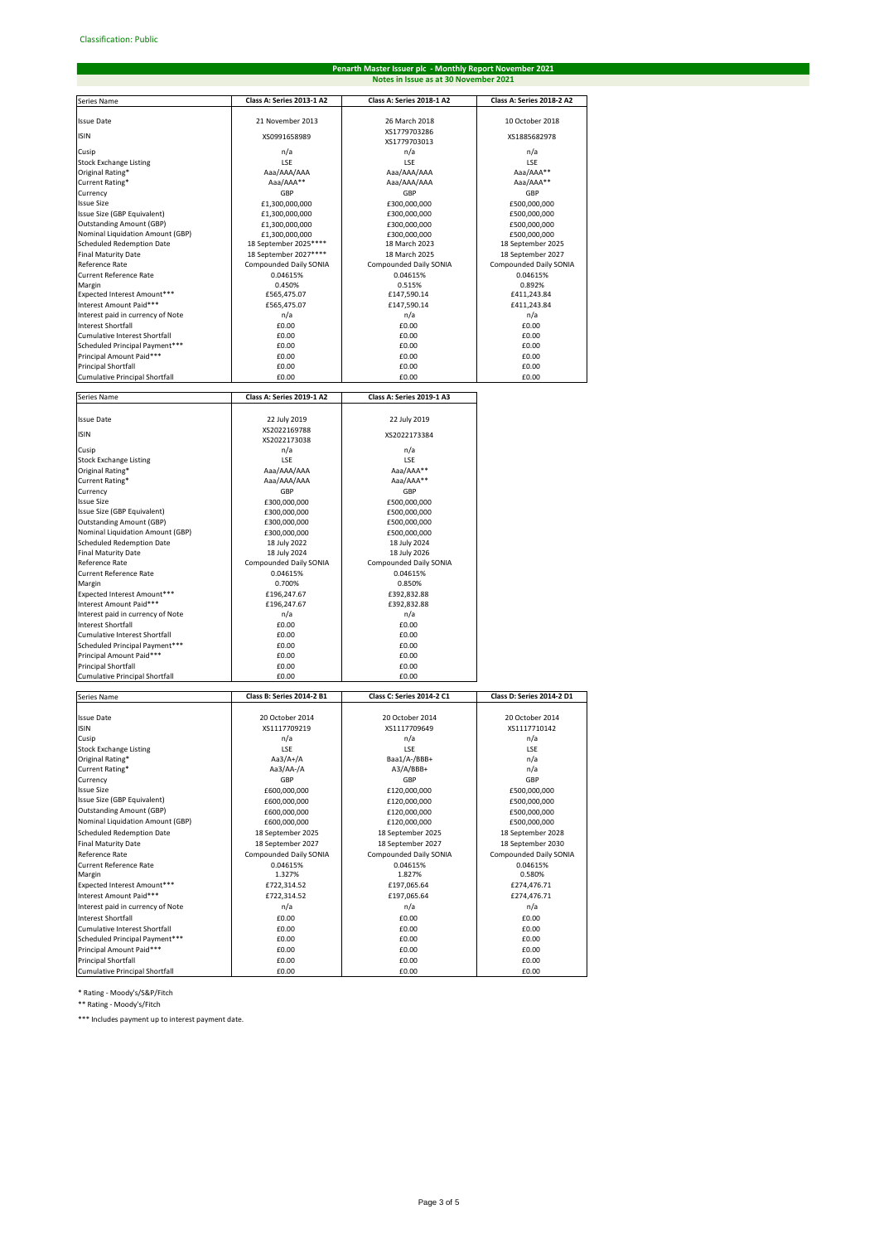# **Penarth Master Issuer plc - Monthly Report November 2021 Notes in Issue as at 30 November 2021**

| Series Name                                                     | Class A: Series 2013-1 A2                       | Class A: Series 2018-1 A2               | Class A: Series 2018-2 A2                   |
|-----------------------------------------------------------------|-------------------------------------------------|-----------------------------------------|---------------------------------------------|
| <b>Issue Date</b>                                               | 21 November 2013                                | 26 March 2018                           | 10 October 2018                             |
| <b>ISIN</b>                                                     | XS0991658989                                    | XS1779703286                            | XS1885682978                                |
|                                                                 |                                                 | XS1779703013                            |                                             |
| Cusip<br><b>Stock Exchange Listing</b>                          | n/a<br>LSE                                      | n/a<br>LSE                              | n/a<br>LSE                                  |
| Original Rating*                                                | Aaa/AAA/AAA                                     | Aaa/AAA/AAA                             | Aaa/AAA**                                   |
| Current Rating*                                                 | Aaa/AAA**                                       | Aaa/AAA/AAA                             | Aaa/AAA**                                   |
| Currency                                                        | GBP                                             | GBP                                     | GBP                                         |
| <b>Issue Size</b><br>Issue Size (GBP Equivalent)                | £1,300,000,000<br>£1,300,000,000                | £300,000,000<br>£300,000,000            | £500,000,000<br>£500,000,000                |
| <b>Outstanding Amount (GBP)</b>                                 | £1,300,000,000                                  | £300,000,000                            | £500,000,000                                |
| Nominal Liquidation Amount (GBP)                                | £1.300.000.000                                  | £300,000,000                            | £500,000,000                                |
| Scheduled Redemption Date                                       | 18 September 2025 ****                          | 18 March 2023                           | 18 September 2025                           |
| <b>Final Maturity Date</b><br>Reference Rate                    | 18 September 2027****<br>Compounded Daily SONIA | 18 March 2025<br>Compounded Daily SONIA | 18 September 2027<br>Compounded Daily SONIA |
| <b>Current Reference Rate</b>                                   | 0.04615%                                        | 0.04615%                                | 0.04615%                                    |
| Margin                                                          | 0.450%                                          | 0.515%                                  | 0.892%                                      |
| Expected Interest Amount***                                     | £565,475.07                                     | £147,590.14                             | £411,243.84                                 |
| Interest Amount Paid***<br>Interest paid in currency of Note    | £565,475.07<br>n/a                              | £147,590.14<br>n/a                      | £411,243.84<br>n/a                          |
| <b>Interest Shortfall</b>                                       | £0.00                                           | £0.00                                   | £0.00                                       |
| Cumulative Interest Shortfall                                   | £0.00                                           | £0.00                                   | £0.00                                       |
| Scheduled Principal Payment***                                  | £0.00                                           | £0.00                                   | £0.00                                       |
| Principal Amount Paid***<br><b>Principal Shortfall</b>          | £0.00<br>£0.00                                  | £0.00<br>£0.00                          | £0.00<br>£0.00                              |
| <b>Cumulative Principal Shortfall</b>                           | £0.00                                           | £0.00                                   | £0.00                                       |
|                                                                 |                                                 |                                         |                                             |
| Series Name                                                     | Class A: Series 2019-1 A2                       | Class A: Series 2019-1 A3               |                                             |
| <b>Issue Date</b>                                               | 22 July 2019                                    | 22 July 2019                            |                                             |
| <b>ISIN</b>                                                     | XS2022169788                                    | XS2022173384                            |                                             |
| Cusip                                                           | XS2022173038<br>n/a                             | n/a                                     |                                             |
| <b>Stock Exchange Listing</b>                                   | LSE                                             | LSE                                     |                                             |
| Original Rating*                                                | Aaa/AAA/AAA                                     | Aaa/AAA**                               |                                             |
| Current Rating*                                                 | Aaa/AAA/AAA                                     | Aaa/AAA**                               |                                             |
| Currency<br><b>Issue Size</b>                                   | GBP<br>£300,000,000                             | GBP<br>£500,000,000                     |                                             |
| Issue Size (GBP Equivalent)                                     | £300,000,000                                    | £500,000,000                            |                                             |
| <b>Outstanding Amount (GBP)</b>                                 | £300,000,000                                    | £500,000,000                            |                                             |
| Nominal Liquidation Amount (GBP)                                | £300,000,000                                    | £500,000,000                            |                                             |
| Scheduled Redemption Date<br><b>Final Maturity Date</b>         | 18 July 2022<br>18 July 2024                    | 18 July 2024<br>18 July 2026            |                                             |
| Reference Rate                                                  | Compounded Daily SONIA                          | Compounded Daily SONIA                  |                                             |
| <b>Current Reference Rate</b>                                   | 0.04615%                                        | 0.04615%                                |                                             |
| Margin                                                          | 0.700%                                          | 0.850%                                  |                                             |
| Expected Interest Amount***<br>Interest Amount Paid***          | £196,247.67<br>£196,247.67                      | £392,832.88<br>£392,832.88              |                                             |
| Interest paid in currency of Note                               | n/a                                             | n/a                                     |                                             |
| <b>Interest Shortfall</b>                                       | £0.00                                           | £0.00                                   |                                             |
| Cumulative Interest Shortfall                                   | £0.00                                           | £0.00                                   |                                             |
| Scheduled Principal Payment***                                  | £0.00                                           | £0.00<br>£0.00                          |                                             |
| Principal Amount Paid***<br>Principal Shortfall                 | £0.00<br>£0.00                                  | £0.00                                   |                                             |
| Cumulative Principal Shortfall                                  | £0.00                                           | £0.00                                   |                                             |
|                                                                 |                                                 |                                         |                                             |
| Series Name                                                     | Class B: Series 2014-2 B1                       | Class C: Series 2014-2 C1               | Class D: Series 2014-2 D1                   |
| <b>Issue Date</b>                                               | 20 October 2014                                 | 20 October 2014                         | 20 October 2014                             |
| <b>ISIN</b>                                                     | XS1117709219                                    | XS1117709649                            | XS1117710142                                |
| Cusip                                                           | n/a                                             | n/a                                     | n/a                                         |
| Stock Exchange Listing<br>Original Rating*                      | LSE<br>Aa3/A+/A                                 | LSE<br>Baa1/A-/BBB+                     | LSE<br>n/a                                  |
| Current Rating*                                                 | Aa3/AA-/A                                       | A3/A/BBB+                               | n/a                                         |
| Currency                                                        | GBP                                             | GBP                                     | GBP                                         |
| <b>Issue Size</b><br>Issue Size (GBP Equivalent)                | £600,000,000                                    | £120,000,000                            | £500,000,000                                |
| <b>Outstanding Amount (GBP)</b>                                 | £600,000,000<br>£600,000,000                    | £120,000,000<br>£120,000,000            | £500,000,000<br>£500,000,000                |
| Nominal Liquidation Amount (GBP)                                | £600,000,000                                    | £120,000,000                            | £500,000,000                                |
| <b>Scheduled Redemption Date</b>                                | 18 September 2025                               | 18 September 2025                       | 18 September 2028                           |
| <b>Final Maturity Date</b>                                      | 18 September 2027                               | 18 September 2027                       | 18 September 2030                           |
| Reference Rate                                                  | Compounded Daily SONIA                          | Compounded Daily SONIA                  | Compounded Daily SONIA                      |
| Current Reference Rate<br>Margin                                | 0.04615%<br>1.327%                              | 0.04615%<br>1.827%                      | 0.04615%<br>0.580%                          |
| Expected Interest Amount***                                     | £722,314.52                                     | £197,065.64                             | £274,476.71                                 |
| Interest Amount Paid***                                         | £722,314.52                                     | £197,065.64                             | £274,476.71                                 |
| Interest paid in currency of Note                               | n/a                                             | n/a                                     | n/a                                         |
| <b>Interest Shortfall</b>                                       | £0.00                                           | £0.00                                   | £0.00                                       |
| Cumulative Interest Shortfall<br>Scheduled Principal Payment*** | £0.00<br>£0.00                                  | £0.00<br>£0.00                          | £0.00<br>£0.00                              |
| Principal Amount Paid***                                        | £0.00                                           | £0.00                                   | £0.00                                       |
| <b>Principal Shortfall</b>                                      | £0.00                                           | £0.00                                   | £0.00                                       |
| Cumulative Principal Shortfall                                  | £0.00                                           | £0.00                                   | £0.00                                       |

\* Rating - Moody's/S&P/Fitch

\*\* Rating - Moody's/Fitch

\*\*\* Includes payment up to interest payment date.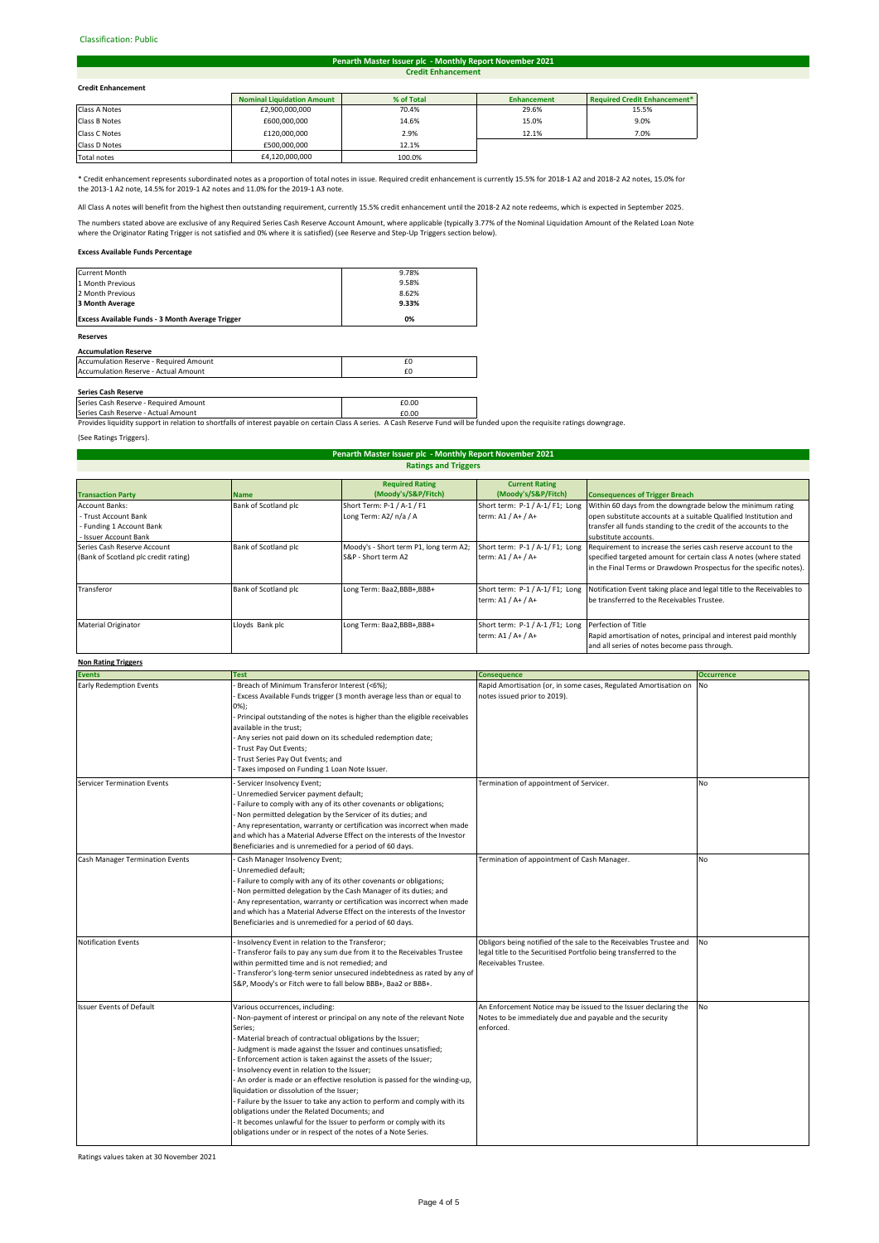# Classification: Public#

#### **Credit Enhancement Penarth Master Issuer plc - Monthly Report November 2021**

# **Credit Enhancement**

| <b>Credit Enhancement</b> |                                   |            |                    |                                     |  |
|---------------------------|-----------------------------------|------------|--------------------|-------------------------------------|--|
|                           | <b>Nominal Liquidation Amount</b> | % of Total | <b>Enhancement</b> | <b>Required Credit Enhancement*</b> |  |
| Class A Notes             | £2,900,000,000                    | 70.4%      | 29.6%              | 15.5%                               |  |
| Class B Notes             | £600,000,000                      | 14.6%      | 15.0%              | 9.0%                                |  |
| Class C Notes             | £120,000,000                      | 2.9%       | 12.1%              | 7.0%                                |  |
| Class D Notes             | £500,000,000                      | 12.1%      |                    |                                     |  |
|                           |                                   |            |                    |                                     |  |

Total notes 64,120,000,000 100.0% **I** 

\* Credit enhancement represents subordinated notes as a proportion of total notes in issue. Required credit enhancement is currently 15.5% for 2018-1 A2 and 2018-2 A2 notes, 15.0% for the 2013-1 A2 note, 14.5% for 2019-1 A2 notes and 11.0% for the 2019-1 A3 note.

All Class A notes will benefit from the highest then outstanding requirement, currently 15.5% credit enhancement until the 2018-2 A2 note redeems, which is expected in September 2025.

The numbers stated above are exclusive of any Required Series Cash Reserve Account Amount, where applicable (typically 3.77% of the Nominal Liquidation Amount of the Related Loan Note<br>where the Originator Rating Trigger is

# **Excess Available Funds Percentage**

| <b>Reserves</b>                                         |       |  |
|---------------------------------------------------------|-------|--|
| <b>Excess Available Funds - 3 Month Average Trigger</b> | 0%    |  |
| 3 Month Average                                         | 9.33% |  |
| 2 Month Previous                                        | 8.62% |  |
| 1 Month Previous                                        | 9.58% |  |
| <b>Current Month</b>                                    | 9.78% |  |

# **Accumulation Reserve**

| Accumulation Reserve - Required Amount |  |
|----------------------------------------|--|
| Accumulation Reserve - Actual Amount   |  |
|                                        |  |

**Series Cash Reserve**<br>Series Cash Reserve - Required Amount **£0.00 Example 2.000 Example 2.000** 

Series Cash Reserve - Actual Amount<br>Provides liquidity support in relation to shortfalls of interest payable on certain Class A series. A Cash Reserve Fund will be funded upon the requisite ratings downgrage.

(See Ratings Triggers).

# **Ratings and Triggers Penarth Master Issuer plc - Monthly Report November 2021**

|                                      |                      | <b>Required Rating</b>                 | <b>Current Rating</b>           |                                                                       |
|--------------------------------------|----------------------|----------------------------------------|---------------------------------|-----------------------------------------------------------------------|
| <b>Transaction Party</b>             | <b>Name</b>          | (Moody's/S&P/Fitch)                    | (Moody's/S&P/Fitch)             | <b>Consequences of Trigger Breach</b>                                 |
| Account Banks:                       | Bank of Scotland plc | Short Term: P-1 / A-1 / F1             | Short term: P-1 / A-1/ F1; Long | Within 60 days from the downgrade below the minimum rating            |
| - Trust Account Bank                 |                      | Long Term: A2/ n/a / A                 | term: A1 / A+ / A+              | open substitute accounts at a suitable Qualified Institution and      |
| - Funding 1 Account Bank             |                      |                                        |                                 | transfer all funds standing to the credit of the accounts to the      |
| - Issuer Account Bank                |                      |                                        |                                 | substitute accounts.                                                  |
| Series Cash Reserve Account          | Bank of Scotland plc | Moody's - Short term P1, long term A2; | Short term: P-1 / A-1/ F1; Long | Requirement to increase the series cash reserve account to the        |
| (Bank of Scotland plc credit rating) |                      | S&P - Short term A2                    | term: A1 / A+ / A+              | specified targeted amount for certain class A notes (where stated     |
|                                      |                      |                                        |                                 | in the Final Terms or Drawdown Prospectus for the specific notes).    |
|                                      |                      |                                        |                                 |                                                                       |
| Transferor                           | Bank of Scotland plc | Long Term: Baa2, BBB+, BBB+            | Short term: P-1 / A-1/F1; Long  | Notification Event taking place and legal title to the Receivables to |
|                                      |                      |                                        | term: A1 / A+ / A+              | be transferred to the Receivables Trustee.                            |
|                                      |                      |                                        |                                 |                                                                       |
| <b>Material Originator</b>           | Lloyds Bank plc      | Long Term: Baa2,BBB+,BBB+              | Short term: P-1 / A-1 /F1; Long | Perfection of Title                                                   |
|                                      |                      |                                        | term: A1 / A+ / A+              | Rapid amortisation of notes, principal and interest paid monthly      |
|                                      |                      |                                        |                                 | and all series of notes become pass through.                          |

# **Non Rating Triggers**

| ניספויי מיישטח ושיר             |                                                                                                                                                                                                                                                                                                                                                                                                                                                                                                                                                                                                                                                                                                                                                                           |                                                                                                                                                                 |                   |
|---------------------------------|---------------------------------------------------------------------------------------------------------------------------------------------------------------------------------------------------------------------------------------------------------------------------------------------------------------------------------------------------------------------------------------------------------------------------------------------------------------------------------------------------------------------------------------------------------------------------------------------------------------------------------------------------------------------------------------------------------------------------------------------------------------------------|-----------------------------------------------------------------------------------------------------------------------------------------------------------------|-------------------|
| <b>Events</b>                   | <b>Test</b>                                                                                                                                                                                                                                                                                                                                                                                                                                                                                                                                                                                                                                                                                                                                                               | <b>Consequence</b>                                                                                                                                              | <b>Occurrence</b> |
| <b>Early Redemption Events</b>  | Breach of Minimum Transferor Interest (<6%);<br>Excess Available Funds trigger (3 month average less than or equal to<br>$0\%$ );<br>- Principal outstanding of the notes is higher than the eligible receivables<br>available in the trust:<br>- Any series not paid down on its scheduled redemption date;<br>Trust Pay Out Events;<br>Trust Series Pay Out Events; and<br>Taxes imposed on Funding 1 Loan Note Issuer.                                                                                                                                                                                                                                                                                                                                                 | Rapid Amortisation (or, in some cases, Regulated Amortisation on<br>notes issued prior to 2019).                                                                | No                |
| Servicer Termination Events     | Servicer Insolvency Event;<br>Unremedied Servicer payment default;<br>Failure to comply with any of its other covenants or obligations;<br>Non permitted delegation by the Servicer of its duties; and<br>Any representation, warranty or certification was incorrect when made<br>and which has a Material Adverse Effect on the interests of the Investor<br>Beneficiaries and is unremedied for a period of 60 days.                                                                                                                                                                                                                                                                                                                                                   | Termination of appointment of Servicer.                                                                                                                         | <b>No</b>         |
| Cash Manager Termination Events | Cash Manager Insolvency Event;<br>Unremedied default;<br>Failure to comply with any of its other covenants or obligations;<br>Non permitted delegation by the Cash Manager of its duties; and<br>Any representation, warranty or certification was incorrect when made<br>and which has a Material Adverse Effect on the interests of the Investor<br>Beneficiaries and is unremedied for a period of 60 days.                                                                                                                                                                                                                                                                                                                                                            | Termination of appointment of Cash Manager.                                                                                                                     | <b>No</b>         |
| <b>Notification Events</b>      | Insolvency Event in relation to the Transferor;<br>- Transferor fails to pay any sum due from it to the Receivables Trustee<br>within permitted time and is not remedied; and<br>- Transferor's long-term senior unsecured indebtedness as rated by any of<br>S&P, Moody's or Fitch were to fall below BBB+, Baa2 or BBB+.                                                                                                                                                                                                                                                                                                                                                                                                                                                | Obligors being notified of the sale to the Receivables Trustee and<br>legal title to the Securitised Portfolio being transferred to the<br>Receivables Trustee. | <b>No</b>         |
| <b>Issuer Events of Default</b> | Various occurrences, including:<br>- Non-payment of interest or principal on any note of the relevant Note<br>Series;<br>Material breach of contractual obligations by the Issuer;<br>- Judgment is made against the Issuer and continues unsatisfied;<br>Enforcement action is taken against the assets of the Issuer;<br>- Insolvency event in relation to the Issuer;<br>- An order is made or an effective resolution is passed for the winding-up,<br>liquidation or dissolution of the Issuer;<br>- Failure by the Issuer to take any action to perform and comply with its<br>obligations under the Related Documents; and<br>- It becomes unlawful for the Issuer to perform or comply with its<br>obligations under or in respect of the notes of a Note Series. | An Enforcement Notice may be issued to the Issuer declaring the<br>Notes to be immediately due and payable and the security<br>enforced.                        | <b>No</b>         |

Ratings values taken at 30 November 2021